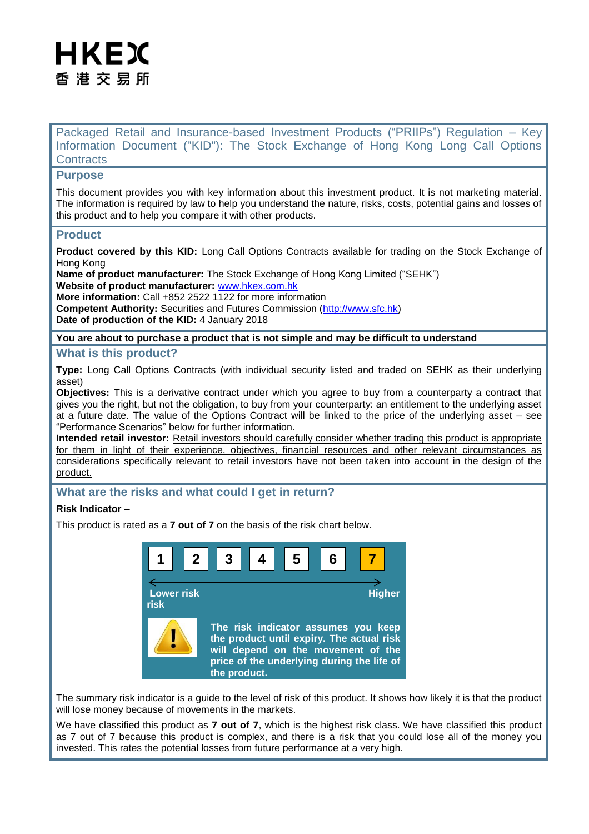# HKEX 香 港 交 易 所

Packaged Retail and Insurance-based Investment Products ("PRIIPs") Regulation – Key Information Document ("KID"): The Stock Exchange of Hong Kong Long Call Options **Contracts** 

# **Purpose**

This document provides you with key information about this investment product. It is not marketing material. The information is required by law to help you understand the nature, risks, costs, potential gains and losses of this product and to help you compare it with other products.

# **Product**

**Product covered by this KID:** Long Call Options Contracts available for trading on the Stock Exchange of Hong Kong

**Name of product manufacturer:** The Stock Exchange of Hong Kong Limited ("SEHK") **Website of product manufacturer:** [www.hkex.com.hk](http://www.hkex.com.hk/)

**More information:** Call +852 2522 1122 for more information **Competent Authority:** Securities and Futures Commission [\(http://www.sfc.hk\)](http://www.sfc.hk/) **Date of production of the KID:** 4 January 2018

## **You are about to purchase a product that is not simple and may be difficult to understand**

## **What is this product?**

**Type:** Long Call Options Contracts (with individual security listed and traded on SEHK as their underlying asset)

**Objectives:** This is a derivative contract under which you agree to buy from a counterparty a contract that gives you the right, but not the obligation, to buy from your counterparty: an entitlement to the underlying asset at a future date. The value of the Options Contract will be linked to the price of the underlying asset – see "Performance Scenarios" below for further information.

**Intended retail investor:** Retail investors should carefully consider whether trading this product is appropriate for them in light of their experience, objectives, financial resources and other relevant circumstances as considerations specifically relevant to retail investors have not been taken into account in the design of the product.

# **What are the risks and what could I get in return?**

## **Risk Indicator** –

This product is rated as a **7 out of 7** on the basis of the risk chart below.



The summary risk indicator is a guide to the level of risk of this product. It shows how likely it is that the product will lose money because of movements in the markets.

We have classified this product as **7 out of 7**, which is the highest risk class. We have classified this product as 7 out of 7 because this product is complex, and there is a risk that you could lose all of the money you invested. This rates the potential losses from future performance at a very high.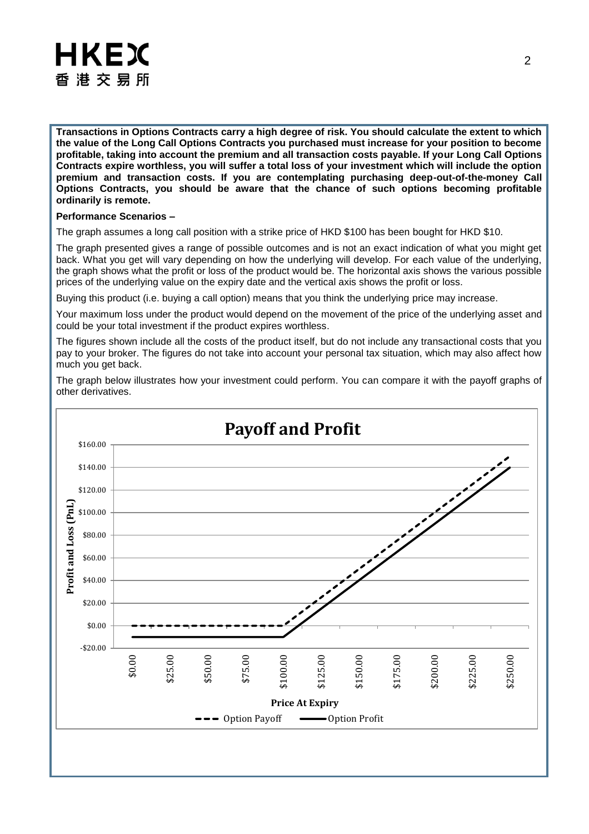

**Transactions in Options Contracts carry a high degree of risk. You should calculate the extent to which the value of the Long Call Options Contracts you purchased must increase for your position to become profitable, taking into account the premium and all transaction costs payable. If your Long Call Options Contracts expire worthless, you will suffer a total loss of your investment which will include the option premium and transaction costs. If you are contemplating purchasing deep-out-of-the-money Call Options Contracts, you should be aware that the chance of such options becoming profitable ordinarily is remote.**

#### **Performance Scenarios –**

The graph assumes a long call position with a strike price of HKD \$100 has been bought for HKD \$10.

The graph presented gives a range of possible outcomes and is not an exact indication of what you might get back. What you get will vary depending on how the underlying will develop. For each value of the underlying, the graph shows what the profit or loss of the product would be. The horizontal axis shows the various possible prices of the underlying value on the expiry date and the vertical axis shows the profit or loss.

Buying this product (i.e. buying a call option) means that you think the underlying price may increase.

Your maximum loss under the product would depend on the movement of the price of the underlying asset and could be your total investment if the product expires worthless.

The figures shown include all the costs of the product itself, but do not include any transactional costs that you pay to your broker. The figures do not take into account your personal tax situation, which may also affect how much you get back.

The graph below illustrates how your investment could perform. You can compare it with the payoff graphs of other derivatives.